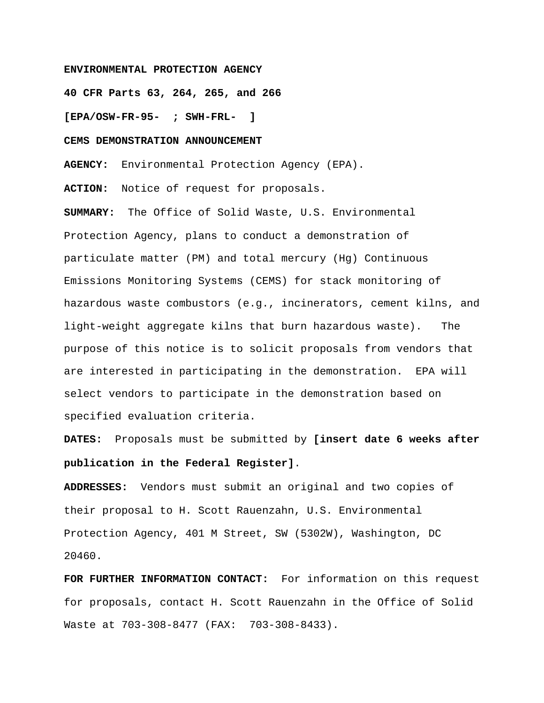## **ENVIRONMENTAL PROTECTION AGENCY**

**40 CFR Parts 63, 264, 265, and 266** 

**[EPA/OSW-FR-95- ; SWH-FRL- ]**

### **CEMS DEMONSTRATION ANNOUNCEMENT**

**AGENCY:** Environmental Protection Agency (EPA).

**ACTION:** Notice of request for proposals.

**SUMMARY:** The Office of Solid Waste, U.S. Environmental Protection Agency, plans to conduct a demonstration of particulate matter (PM) and total mercury (Hg) Continuous Emissions Monitoring Systems (CEMS) for stack monitoring of hazardous waste combustors (e.g., incinerators, cement kilns, and light-weight aggregate kilns that burn hazardous waste). The purpose of this notice is to solicit proposals from vendors that are interested in participating in the demonstration. EPA will select vendors to participate in the demonstration based on specified evaluation criteria.

**DATES:** Proposals must be submitted by **[insert date 6 weeks after publication in the Federal Register]**.

**ADDRESSES:** Vendors must submit an original and two copies of their proposal to H. Scott Rauenzahn, U.S. Environmental Protection Agency, 401 M Street, SW (5302W), Washington, DC 20460.

**FOR FURTHER INFORMATION CONTACT:** For information on this request for proposals, contact H. Scott Rauenzahn in the Office of Solid Waste at 703-308-8477 (FAX: 703-308-8433).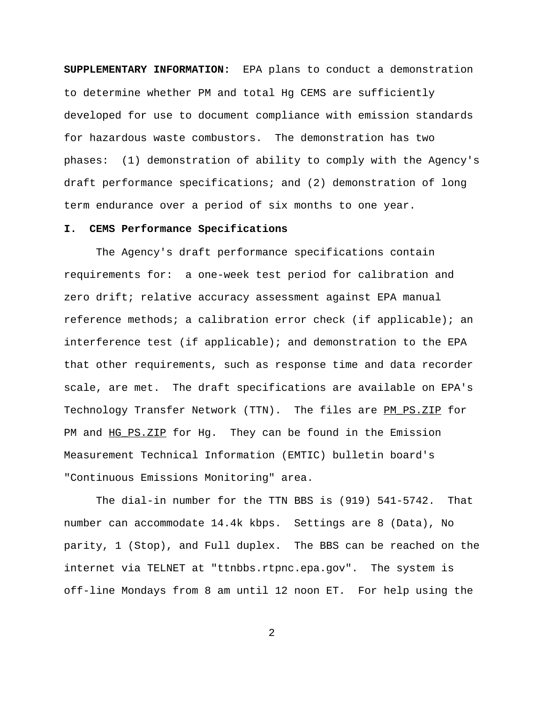**SUPPLEMENTARY INFORMATION:** EPA plans to conduct a demonstration to determine whether PM and total Hg CEMS are sufficiently developed for use to document compliance with emission standards for hazardous waste combustors. The demonstration has two phases: (1) demonstration of ability to comply with the Agency's draft performance specifications; and (2) demonstration of long term endurance over a period of six months to one year.

### **I. CEMS Performance Specifications**

The Agency's draft performance specifications contain requirements for: a one-week test period for calibration and zero drift; relative accuracy assessment against EPA manual reference methods; a calibration error check (if applicable); an interference test (if applicable); and demonstration to the EPA that other requirements, such as response time and data recorder scale, are met. The draft specifications are available on EPA's Technology Transfer Network (TTN). The files are PM PS.ZIP for PM and HG\_PS.ZIP for Hg. They can be found in the Emission Measurement Technical Information (EMTIC) bulletin board's "Continuous Emissions Monitoring" area.

The dial-in number for the TTN BBS is (919) 541-5742. That number can accommodate 14.4k kbps. Settings are 8 (Data), No parity, 1 (Stop), and Full duplex. The BBS can be reached on the internet via TELNET at "ttnbbs.rtpnc.epa.gov". The system is off-line Mondays from 8 am until 12 noon ET. For help using the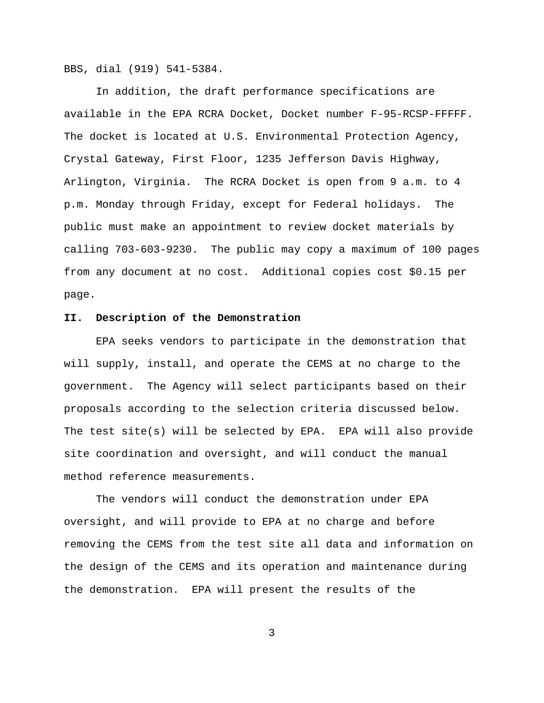BBS, dial (919) 541-5384.

In addition, the draft performance specifications are available in the EPA RCRA Docket, Docket number F-95-RCSP-FFFFF. The docket is located at U.S. Environmental Protection Agency, Crystal Gateway, First Floor, 1235 Jefferson Davis Highway, Arlington, Virginia. The RCRA Docket is open from 9 a.m. to 4 p.m. Monday through Friday, except for Federal holidays. The public must make an appointment to review docket materials by calling 703-603-9230. The public may copy a maximum of 100 pages from any document at no cost. Additional copies cost \$0.15 per page.

# **II. Description of the Demonstration**

EPA seeks vendors to participate in the demonstration that will supply, install, and operate the CEMS at no charge to the government. The Agency will select participants based on their proposals according to the selection criteria discussed below. The test site(s) will be selected by EPA. EPA will also provide site coordination and oversight, and will conduct the manual method reference measurements.

The vendors will conduct the demonstration under EPA oversight, and will provide to EPA at no charge and before removing the CEMS from the test site all data and information on the design of the CEMS and its operation and maintenance during the demonstration. EPA will present the results of the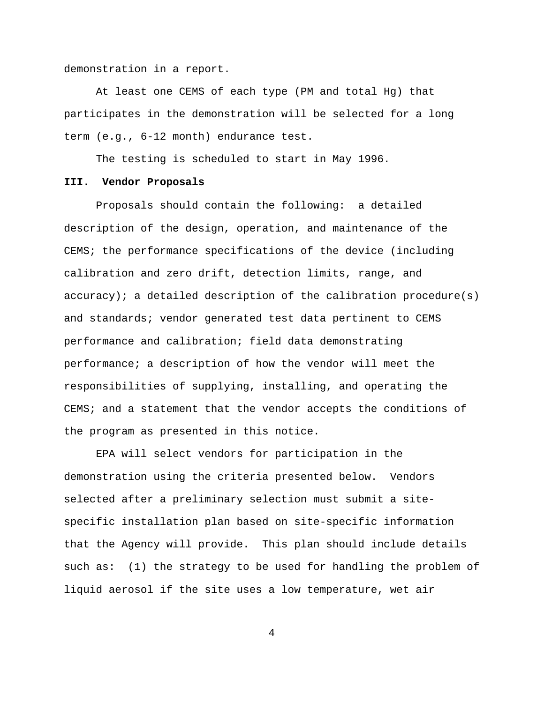demonstration in a report.

At least one CEMS of each type (PM and total Hg) that participates in the demonstration will be selected for a long term (e.g., 6-12 month) endurance test.

The testing is scheduled to start in May 1996.

### **III. Vendor Proposals**

Proposals should contain the following: a detailed description of the design, operation, and maintenance of the CEMS; the performance specifications of the device (including calibration and zero drift, detection limits, range, and accuracy); a detailed description of the calibration procedure(s) and standards; vendor generated test data pertinent to CEMS performance and calibration; field data demonstrating performance; a description of how the vendor will meet the responsibilities of supplying, installing, and operating the CEMS; and a statement that the vendor accepts the conditions of the program as presented in this notice.

EPA will select vendors for participation in the demonstration using the criteria presented below. Vendors selected after a preliminary selection must submit a sitespecific installation plan based on site-specific information that the Agency will provide. This plan should include details such as: (1) the strategy to be used for handling the problem of liquid aerosol if the site uses a low temperature, wet air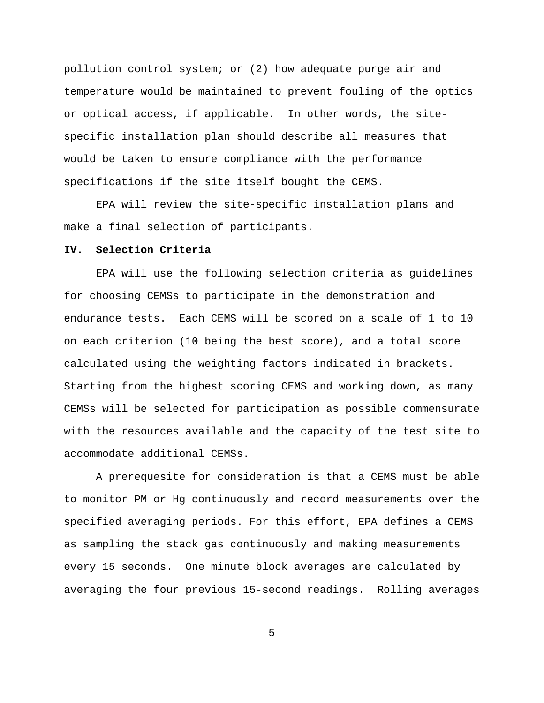pollution control system; or (2) how adequate purge air and temperature would be maintained to prevent fouling of the optics or optical access, if applicable. In other words, the sitespecific installation plan should describe all measures that would be taken to ensure compliance with the performance specifications if the site itself bought the CEMS.

EPA will review the site-specific installation plans and make a final selection of participants.

## **IV. Selection Criteria**

EPA will use the following selection criteria as guidelines for choosing CEMSs to participate in the demonstration and endurance tests. Each CEMS will be scored on a scale of 1 to 10 on each criterion (10 being the best score), and a total score calculated using the weighting factors indicated in brackets. Starting from the highest scoring CEMS and working down, as many CEMSs will be selected for participation as possible commensurate with the resources available and the capacity of the test site to accommodate additional CEMSs.

A prerequesite for consideration is that a CEMS must be able to monitor PM or Hg continuously and record measurements over the specified averaging periods. For this effort, EPA defines a CEMS as sampling the stack gas continuously and making measurements every 15 seconds. One minute block averages are calculated by averaging the four previous 15-second readings. Rolling averages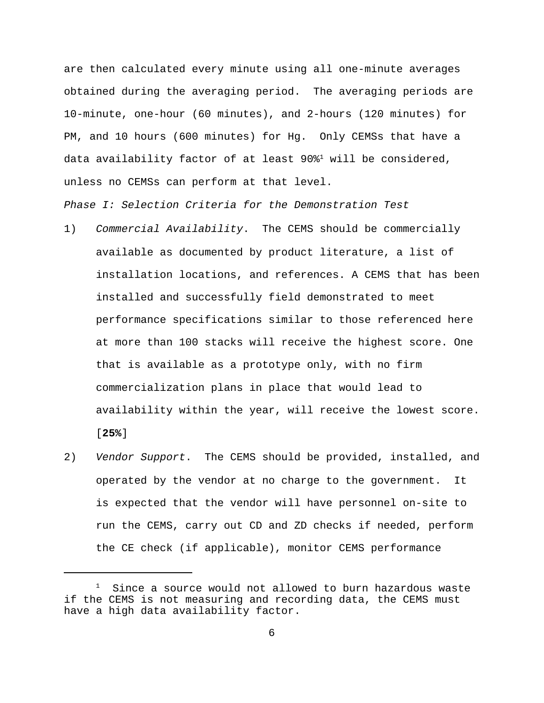are then calculated every minute using all one-minute averages obtained during the averaging period. The averaging periods are 10-minute, one-hour (60 minutes), and 2-hours (120 minutes) for PM, and 10 hours (600 minutes) for Hg. Only CEMSs that have a data availability factor of at least  $90\$ <sup>1</sup> will be considered, unless no CEMSs can perform at that level.

*Phase I: Selection Criteria for the Demonstration Test*

- 1) *Commercial Availability*. The CEMS should be commercially available as documented by product literature, a list of installation locations, and references. A CEMS that has been installed and successfully field demonstrated to meet performance specifications similar to those referenced here at more than 100 stacks will receive the highest score. One that is available as a prototype only, with no firm commercialization plans in place that would lead to availability within the year, will receive the lowest score. [**25%**]
- 2) *Vendor Support*. The CEMS should be provided, installed, and operated by the vendor at no charge to the government. It is expected that the vendor will have personnel on-site to run the CEMS, carry out CD and ZD checks if needed, perform the CE check (if applicable), monitor CEMS performance

 $1$  Since a source would not allowed to burn hazardous waste if the CEMS is not measuring and recording data, the CEMS must have a high data availability factor.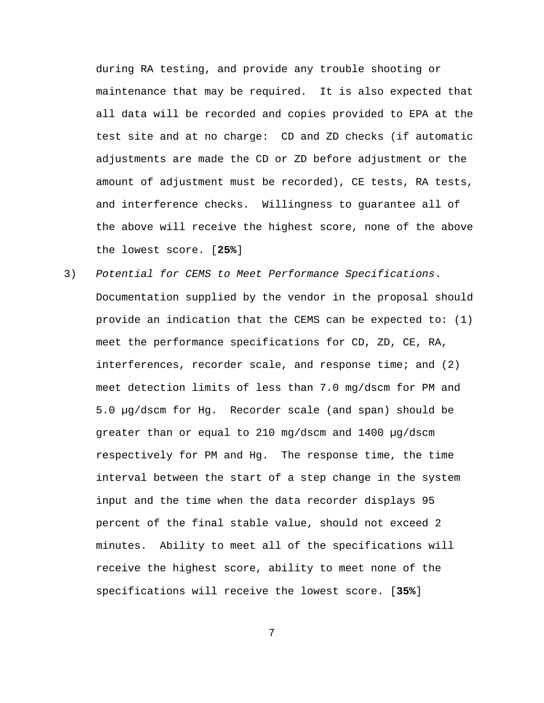during RA testing, and provide any trouble shooting or maintenance that may be required. It is also expected that all data will be recorded and copies provided to EPA at the test site and at no charge: CD and ZD checks (if automatic adjustments are made the CD or ZD before adjustment or the amount of adjustment must be recorded), CE tests, RA tests, and interference checks. Willingness to guarantee all of the above will receive the highest score, none of the above the lowest score. [**25%**]

3) *Potential for CEMS to Meet Performance Specifications*. Documentation supplied by the vendor in the proposal should provide an indication that the CEMS can be expected to: (1) meet the performance specifications for CD, ZD, CE, RA, interferences, recorder scale, and response time; and (2) meet detection limits of less than 7.0 mg/dscm for PM and 5.0 µg/dscm for Hg. Recorder scale (and span) should be greater than or equal to 210 mg/dscm and 1400 µg/dscm respectively for PM and Hg. The response time, the time interval between the start of a step change in the system input and the time when the data recorder displays 95 percent of the final stable value, should not exceed 2 minutes. Ability to meet all of the specifications will receive the highest score, ability to meet none of the specifications will receive the lowest score. [**35%**]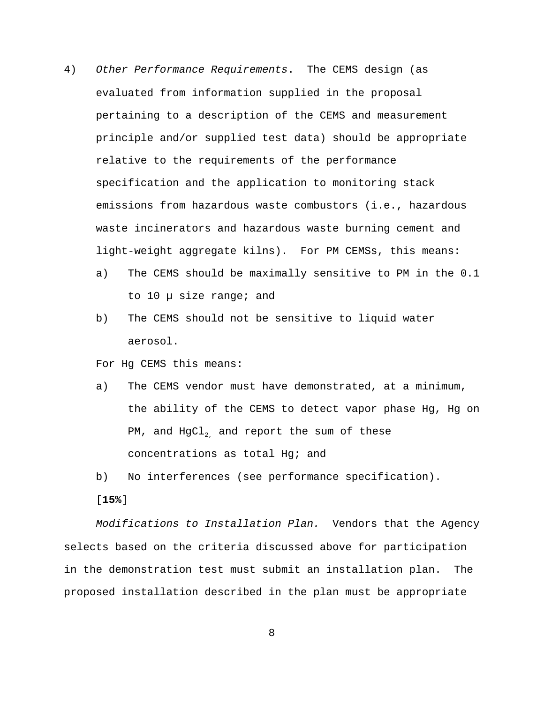- 4) *Other Performance Requirements*. The CEMS design (as evaluated from information supplied in the proposal pertaining to a description of the CEMS and measurement principle and/or supplied test data) should be appropriate relative to the requirements of the performance specification and the application to monitoring stack emissions from hazardous waste combustors (i.e., hazardous waste incinerators and hazardous waste burning cement and light-weight aggregate kilns). For PM CEMSs, this means:
	- a) The CEMS should be maximally sensitive to PM in the 0.1 to 10 µ size range; and
	- b) The CEMS should not be sensitive to liquid water aerosol.

For Hg CEMS this means:

- a) The CEMS vendor must have demonstrated, at a minimum, the ability of the CEMS to detect vapor phase Hg, Hg on PM, and  $HgCl<sub>2</sub>$  and report the sum of these concentrations as total Hg; and
- b) No interferences (see performance specification).

[**15%**]

*Modifications to Installation Plan.* Vendors that the Agency selects based on the criteria discussed above for participation in the demonstration test must submit an installation plan. The proposed installation described in the plan must be appropriate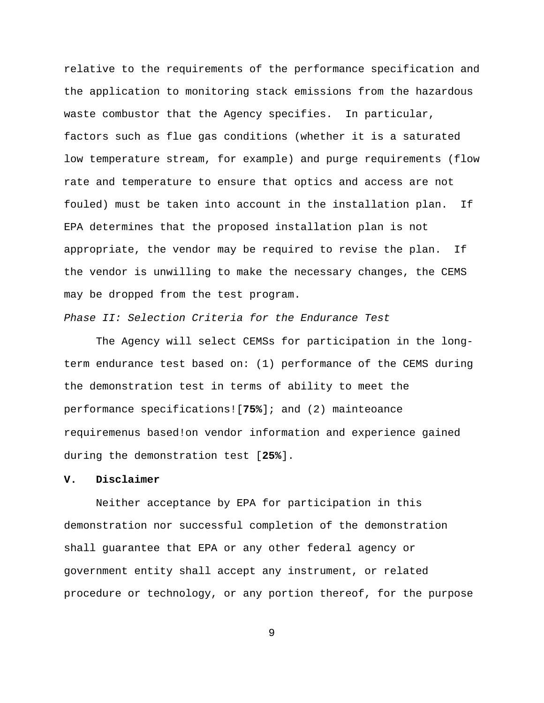relative to the requirements of the performance specification and the application to monitoring stack emissions from the hazardous waste combustor that the Agency specifies. In particular, factors such as flue gas conditions (whether it is a saturated low temperature stream, for example) and purge requirements (flow rate and temperature to ensure that optics and access are not fouled) must be taken into account in the installation plan. If EPA determines that the proposed installation plan is not appropriate, the vendor may be required to revise the plan. If the vendor is unwilling to make the necessary changes, the CEMS may be dropped from the test program.

*Phase II: Selection Criteria for the Endurance Test*

The Agency will select CEMSs for participation in the longterm endurance test based on: (1) performance of the CEMS during the demonstration test in terms of ability to meet the performance specifications![**75%**]; and (2) mainteoance requiremenus based!on vendor information and experience gained during the demonstration test [**25%**].

## **V. Disclaimer**

Neither acceptance by EPA for participation in this demonstration nor successful completion of the demonstration shall guarantee that EPA or any other federal agency or government entity shall accept any instrument, or related procedure or technology, or any portion thereof, for the purpose